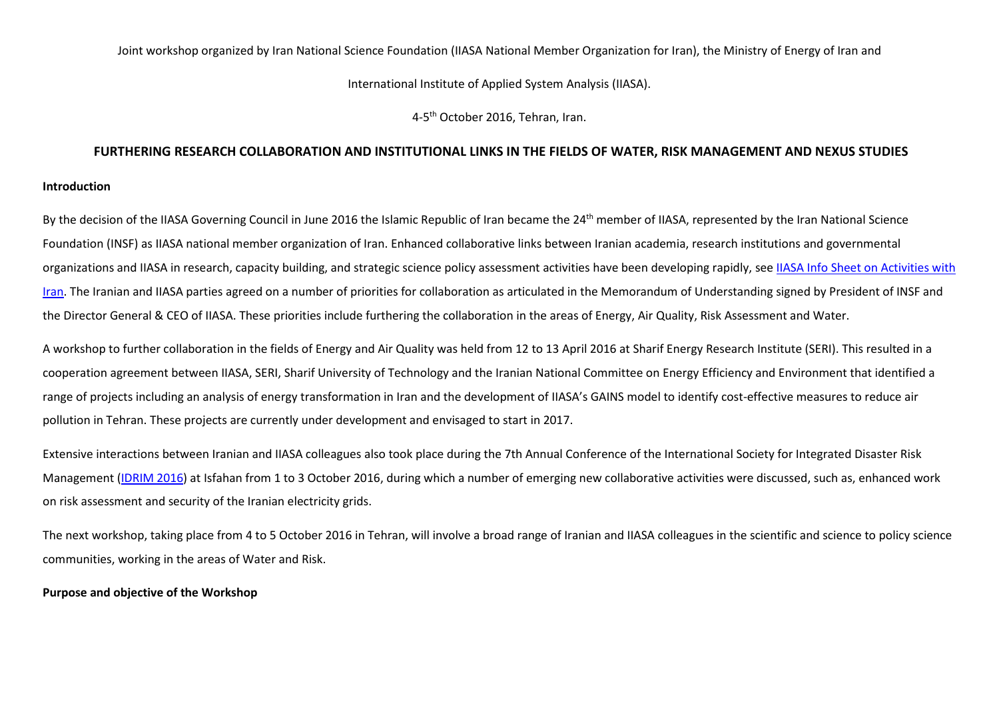Joint workshop organized by Iran National Science Foundation (IIASA National Member Organization for Iran), the Ministry of Energy of Iran and

International Institute of Applied System Analysis (IIASA).

4-5<sup>th</sup> October 2016, Tehran, Iran.

## **FURTHERING RESEARCH COLLABORATION AND INSTITUTIONAL LINKS IN THE FIELDS OF WATER, RISK MANAGEMENT AND NEXUS STUDIES**

#### **Introduction**

By the decision of the IIASA Governing Council in June 2016 the Islamic Republic of Iran became the 24<sup>th</sup> member of IIASA, represented by the Iran National Science Foundation (INSF) as IIASA national member organization of Iran. Enhanced collaborative links between Iranian academia, research institutions and governmental organizations and IIASA in research, capacity building, and strategic science policy assessment activities have been developing rapidly, see [IIASA Info Sheet on Activities with](http://www.iiasa.ac.at/web/home/about/nationalmembers/countryprofiles/Iran.html)  [Iran.](http://www.iiasa.ac.at/web/home/about/nationalmembers/countryprofiles/Iran.html) The Iranian and IIASA parties agreed on a number of priorities for collaboration as articulated in the Memorandum of Understanding signed by President of INSF and the Director General & CEO of IIASA. These priorities include furthering the collaboration in the areas of Energy, Air Quality, Risk Assessment and Water.

A workshop to further collaboration in the fields of Energy and Air Quality was held from 12 to 13 April 2016 at Sharif Energy Research Institute (SERI). This resulted in a cooperation agreement between IIASA, SERI, Sharif University of Technology and the Iranian National Committee on Energy Efficiency and Environment that identified a range of projects including an analysis of energy transformation in Iran and the development of IIASA's GAINS model to identify cost-effective measures to reduce air pollution in Tehran. These projects are currently under development and envisaged to start in 2017.

Extensive interactions between Iranian and IIASA colleagues also took place during the 7th Annual Conference of the International Society for Integrated Disaster Risk Management [\(IDRIM](http://www.iiasa.ac.at/web/home/research/researchPrograms/RISK/160901-IDRiM2016.html) 2016) at Isfahan from 1 to 3 October 2016, during which a number of emerging new collaborative activities were discussed, such as, enhanced work on risk assessment and security of the Iranian electricity grids.

The next workshop, taking place from 4 to 5 October 2016 in Tehran, will involve a broad range of Iranian and IIASA colleagues in the scientific and science to policy science communities, working in the areas of Water and Risk.

## **Purpose and objective of the Workshop**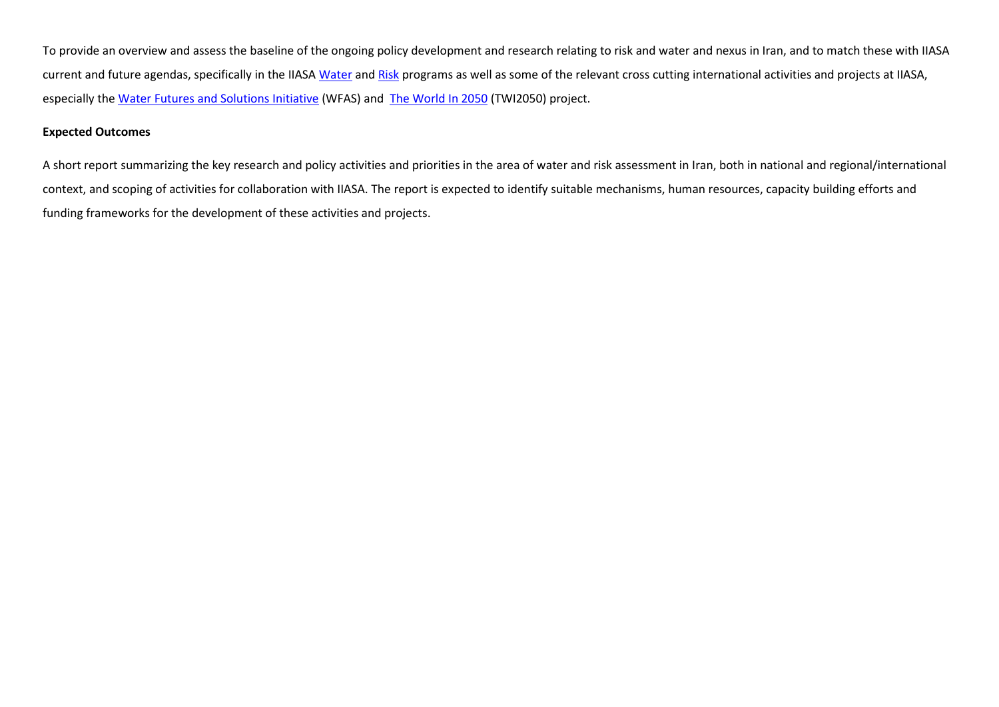To provide an overview and assess the baseline of the ongoing policy development and research relating to risk and water and nexus in Iran, and to match these with IIASA current and future agendas, specifically in the IIAS[A Water](http://www.iiasa.ac.at/web/home/research/researchPrograms/water/waterhome.html) an[d Risk](http://www.iiasa.ac.at/web/home/research/researchPrograms/RISK/RISK-home.html) programs as well as some of the relevant cross cutting international activities and projects at IIASA, especially th[e Water Futures and Solutions Initiative](http://www.iiasa.ac.at/web/home/research/water-futures.html) (WFAS) and [The World In 2050](http://www.iiasa.ac.at/web/home/research/researchProjects/TWI2050.html) (TWI2050) project.

## **Expected Outcomes**

A short report summarizing the key research and policy activities and priorities in the area of water and risk assessment in Iran, both in national and regional/international context, and scoping of activities for collaboration with IIASA. The report is expected to identify suitable mechanisms, human resources, capacity building efforts and funding frameworks for the development of these activities and projects.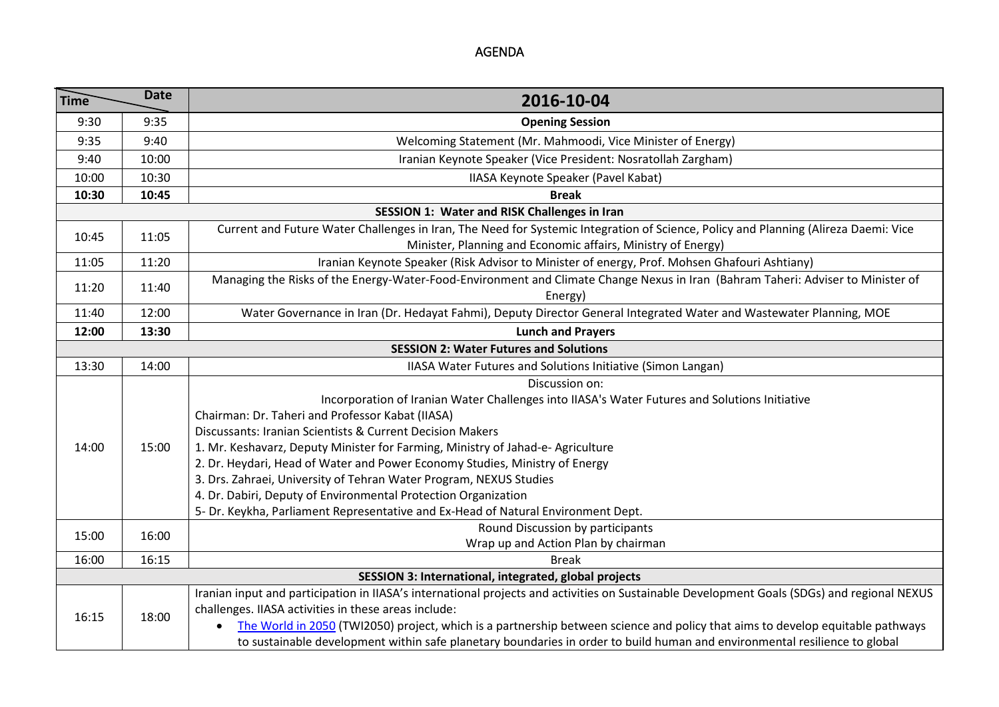# AGENDA

| <b>Time</b> | <b>Date</b> | 2016-10-04                                                                                                                                                                                          |  |  |  |
|-------------|-------------|-----------------------------------------------------------------------------------------------------------------------------------------------------------------------------------------------------|--|--|--|
| 9:30        | 9:35        | <b>Opening Session</b>                                                                                                                                                                              |  |  |  |
| 9:35        | 9:40        | Welcoming Statement (Mr. Mahmoodi, Vice Minister of Energy)                                                                                                                                         |  |  |  |
| 9:40        | 10:00       | Iranian Keynote Speaker (Vice President: Nosratollah Zargham)                                                                                                                                       |  |  |  |
| 10:00       | 10:30       | IIASA Keynote Speaker (Pavel Kabat)                                                                                                                                                                 |  |  |  |
| 10:30       | 10:45       | <b>Break</b>                                                                                                                                                                                        |  |  |  |
|             |             | SESSION 1: Water and RISK Challenges in Iran                                                                                                                                                        |  |  |  |
| 10:45       | 11:05       | Current and Future Water Challenges in Iran, The Need for Systemic Integration of Science, Policy and Planning (Alireza Daemi: Vice<br>Minister, Planning and Economic affairs, Ministry of Energy) |  |  |  |
| 11:05       | 11:20       | Iranian Keynote Speaker (Risk Advisor to Minister of energy, Prof. Mohsen Ghafouri Ashtiany)                                                                                                        |  |  |  |
| 11:20       | 11:40       | Managing the Risks of the Energy-Water-Food-Environment and Climate Change Nexus in Iran (Bahram Taheri: Adviser to Minister of<br>Energy)                                                          |  |  |  |
| 11:40       | 12:00       | Water Governance in Iran (Dr. Hedayat Fahmi), Deputy Director General Integrated Water and Wastewater Planning, MOE                                                                                 |  |  |  |
| 12:00       | 13:30       | <b>Lunch and Prayers</b>                                                                                                                                                                            |  |  |  |
|             |             | <b>SESSION 2: Water Futures and Solutions</b>                                                                                                                                                       |  |  |  |
| 13:30       | 14:00       | IIASA Water Futures and Solutions Initiative (Simon Langan)                                                                                                                                         |  |  |  |
|             | 15:00       | Discussion on:                                                                                                                                                                                      |  |  |  |
|             |             | Incorporation of Iranian Water Challenges into IIASA's Water Futures and Solutions Initiative                                                                                                       |  |  |  |
|             |             | Chairman: Dr. Taheri and Professor Kabat (IIASA)                                                                                                                                                    |  |  |  |
|             |             | Discussants: Iranian Scientists & Current Decision Makers                                                                                                                                           |  |  |  |
| 14:00       |             | 1. Mr. Keshavarz, Deputy Minister for Farming, Ministry of Jahad-e- Agriculture                                                                                                                     |  |  |  |
|             |             | 2. Dr. Heydari, Head of Water and Power Economy Studies, Ministry of Energy                                                                                                                         |  |  |  |
|             |             | 3. Drs. Zahraei, University of Tehran Water Program, NEXUS Studies                                                                                                                                  |  |  |  |
|             |             | 4. Dr. Dabiri, Deputy of Environmental Protection Organization                                                                                                                                      |  |  |  |
|             |             | 5- Dr. Keykha, Parliament Representative and Ex-Head of Natural Environment Dept.                                                                                                                   |  |  |  |
| 15:00       | 16:00       | Round Discussion by participants                                                                                                                                                                    |  |  |  |
|             |             | Wrap up and Action Plan by chairman                                                                                                                                                                 |  |  |  |
| 16:00       | 16:15       | <b>Break</b>                                                                                                                                                                                        |  |  |  |
|             |             | SESSION 3: International, integrated, global projects                                                                                                                                               |  |  |  |
|             | 18:00       | Iranian input and participation in IIASA's international projects and activities on Sustainable Development Goals (SDGs) and regional NEXUS                                                         |  |  |  |
| 16:15       |             | challenges. IIASA activities in these areas include:                                                                                                                                                |  |  |  |
|             |             | The World in 2050 (TWI2050) project, which is a partnership between science and policy that aims to develop equitable pathways<br>$\bullet$                                                         |  |  |  |
|             |             | to sustainable development within safe planetary boundaries in order to build human and environmental resilience to global                                                                          |  |  |  |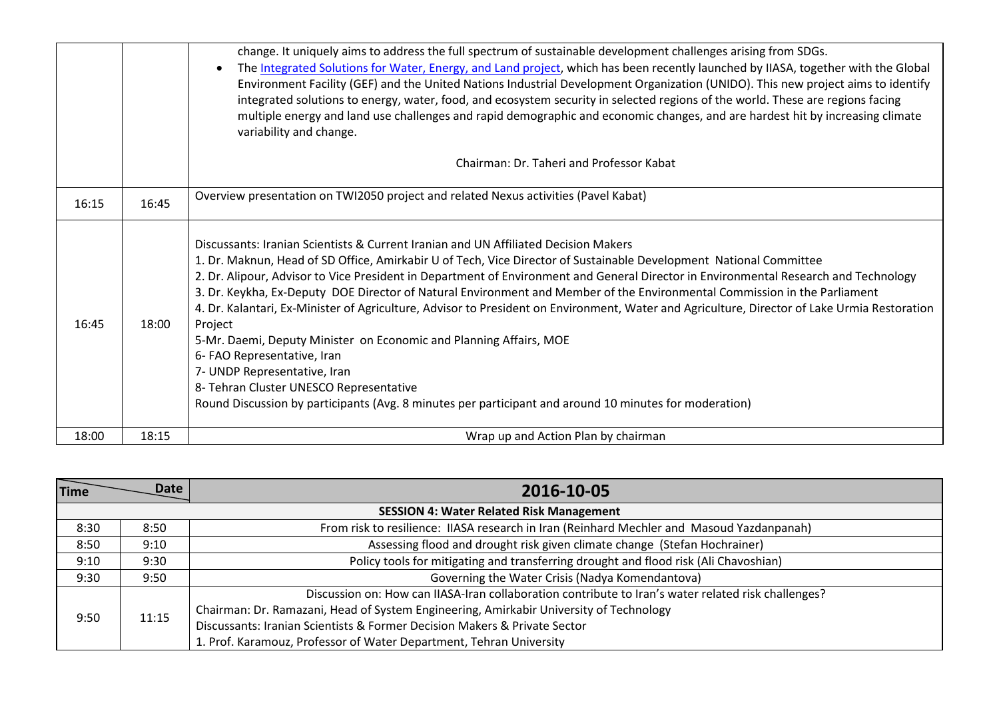|       |       | change. It uniquely aims to address the full spectrum of sustainable development challenges arising from SDGs.<br>The Integrated Solutions for Water, Energy, and Land project, which has been recently launched by IIASA, together with the Global<br>Environment Facility (GEF) and the United Nations Industrial Development Organization (UNIDO). This new project aims to identify<br>integrated solutions to energy, water, food, and ecosystem security in selected regions of the world. These are regions facing<br>multiple energy and land use challenges and rapid demographic and economic changes, and are hardest hit by increasing climate<br>variability and change.                                                                                                                                                                                                                                               |
|-------|-------|-------------------------------------------------------------------------------------------------------------------------------------------------------------------------------------------------------------------------------------------------------------------------------------------------------------------------------------------------------------------------------------------------------------------------------------------------------------------------------------------------------------------------------------------------------------------------------------------------------------------------------------------------------------------------------------------------------------------------------------------------------------------------------------------------------------------------------------------------------------------------------------------------------------------------------------|
|       |       | Chairman: Dr. Taheri and Professor Kabat                                                                                                                                                                                                                                                                                                                                                                                                                                                                                                                                                                                                                                                                                                                                                                                                                                                                                            |
| 16:15 | 16:45 | Overview presentation on TWI2050 project and related Nexus activities (Pavel Kabat)                                                                                                                                                                                                                                                                                                                                                                                                                                                                                                                                                                                                                                                                                                                                                                                                                                                 |
| 16:45 | 18:00 | Discussants: Iranian Scientists & Current Iranian and UN Affiliated Decision Makers<br>1. Dr. Maknun, Head of SD Office, Amirkabir U of Tech, Vice Director of Sustainable Development National Committee<br>2. Dr. Alipour, Advisor to Vice President in Department of Environment and General Director in Environmental Research and Technology<br>3. Dr. Keykha, Ex-Deputy DOE Director of Natural Environment and Member of the Environmental Commission in the Parliament<br>4. Dr. Kalantari, Ex-Minister of Agriculture, Advisor to President on Environment, Water and Agriculture, Director of Lake Urmia Restoration<br>Project<br>5-Mr. Daemi, Deputy Minister on Economic and Planning Affairs, MOE<br>6- FAO Representative, Iran<br>7- UNDP Representative, Iran<br>8- Tehran Cluster UNESCO Representative<br>Round Discussion by participants (Avg. 8 minutes per participant and around 10 minutes for moderation) |
| 18:00 | 18:15 | Wrap up and Action Plan by chairman                                                                                                                                                                                                                                                                                                                                                                                                                                                                                                                                                                                                                                                                                                                                                                                                                                                                                                 |

| <b>Time</b>                                     | <b>Date</b> | 2016-10-05                                                                                          |  |  |
|-------------------------------------------------|-------------|-----------------------------------------------------------------------------------------------------|--|--|
| <b>SESSION 4: Water Related Risk Management</b> |             |                                                                                                     |  |  |
| 8:30                                            | 8:50        | From risk to resilience: IIASA research in Iran (Reinhard Mechler and Masoud Yazdanpanah)           |  |  |
| 8:50                                            | 9:10        | Assessing flood and drought risk given climate change (Stefan Hochrainer)                           |  |  |
| 9:10                                            | 9:30        | Policy tools for mitigating and transferring drought and flood risk (Ali Chavoshian)                |  |  |
| 9:30                                            | 9:50        | Governing the Water Crisis (Nadya Komendantova)                                                     |  |  |
| 9:50                                            | 11:15       | Discussion on: How can IIASA-Iran collaboration contribute to Iran's water related risk challenges? |  |  |
|                                                 |             | Chairman: Dr. Ramazani, Head of System Engineering, Amirkabir University of Technology              |  |  |
|                                                 |             | Discussants: Iranian Scientists & Former Decision Makers & Private Sector                           |  |  |
|                                                 |             | 1. Prof. Karamouz, Professor of Water Department, Tehran University                                 |  |  |